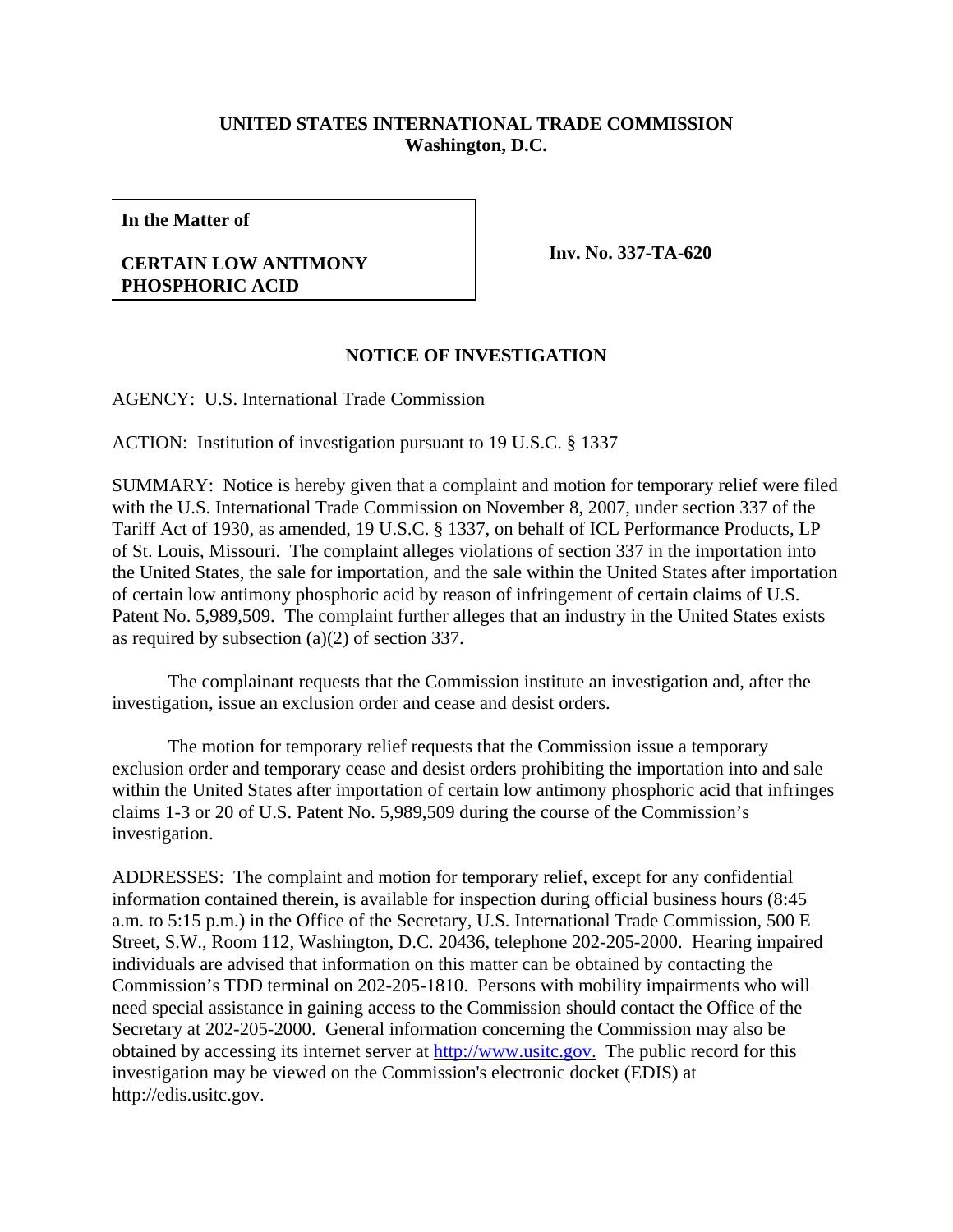## **UNITED STATES INTERNATIONAL TRADE COMMISSION Washington, D.C.**

**In the Matter of**

## **CERTAIN LOW ANTIMONY PHOSPHORIC ACID**

**Inv. No. 337-TA-620**

## **NOTICE OF INVESTIGATION**

AGENCY: U.S. International Trade Commission

ACTION: Institution of investigation pursuant to 19 U.S.C. § 1337

SUMMARY: Notice is hereby given that a complaint and motion for temporary relief were filed with the U.S. International Trade Commission on November 8, 2007, under section 337 of the Tariff Act of 1930, as amended, 19 U.S.C. § 1337, on behalf of ICL Performance Products, LP of St. Louis, Missouri. The complaint alleges violations of section 337 in the importation into the United States, the sale for importation, and the sale within the United States after importation of certain low antimony phosphoric acid by reason of infringement of certain claims of U.S. Patent No. 5,989,509. The complaint further alleges that an industry in the United States exists as required by subsection (a)(2) of section 337.

The complainant requests that the Commission institute an investigation and, after the investigation, issue an exclusion order and cease and desist orders.

The motion for temporary relief requests that the Commission issue a temporary exclusion order and temporary cease and desist orders prohibiting the importation into and sale within the United States after importation of certain low antimony phosphoric acid that infringes claims 1-3 or 20 of U.S. Patent No. 5,989,509 during the course of the Commission's investigation.

ADDRESSES: The complaint and motion for temporary relief, except for any confidential information contained therein, is available for inspection during official business hours (8:45 a.m. to 5:15 p.m.) in the Office of the Secretary, U.S. International Trade Commission, 500 E Street, S.W., Room 112, Washington, D.C. 20436, telephone 202-205-2000. Hearing impaired individuals are advised that information on this matter can be obtained by contacting the Commission's TDD terminal on 202-205-1810. Persons with mobility impairments who will need special assistance in gaining access to the Commission should contact the Office of the Secretary at 202-205-2000. General information concerning the Commission may also be obtained by accessing its internet server at http://www.usitc.gov. The public record for this investigation may be viewed on the Commission's electronic docket (EDIS) at http://edis.usitc.gov.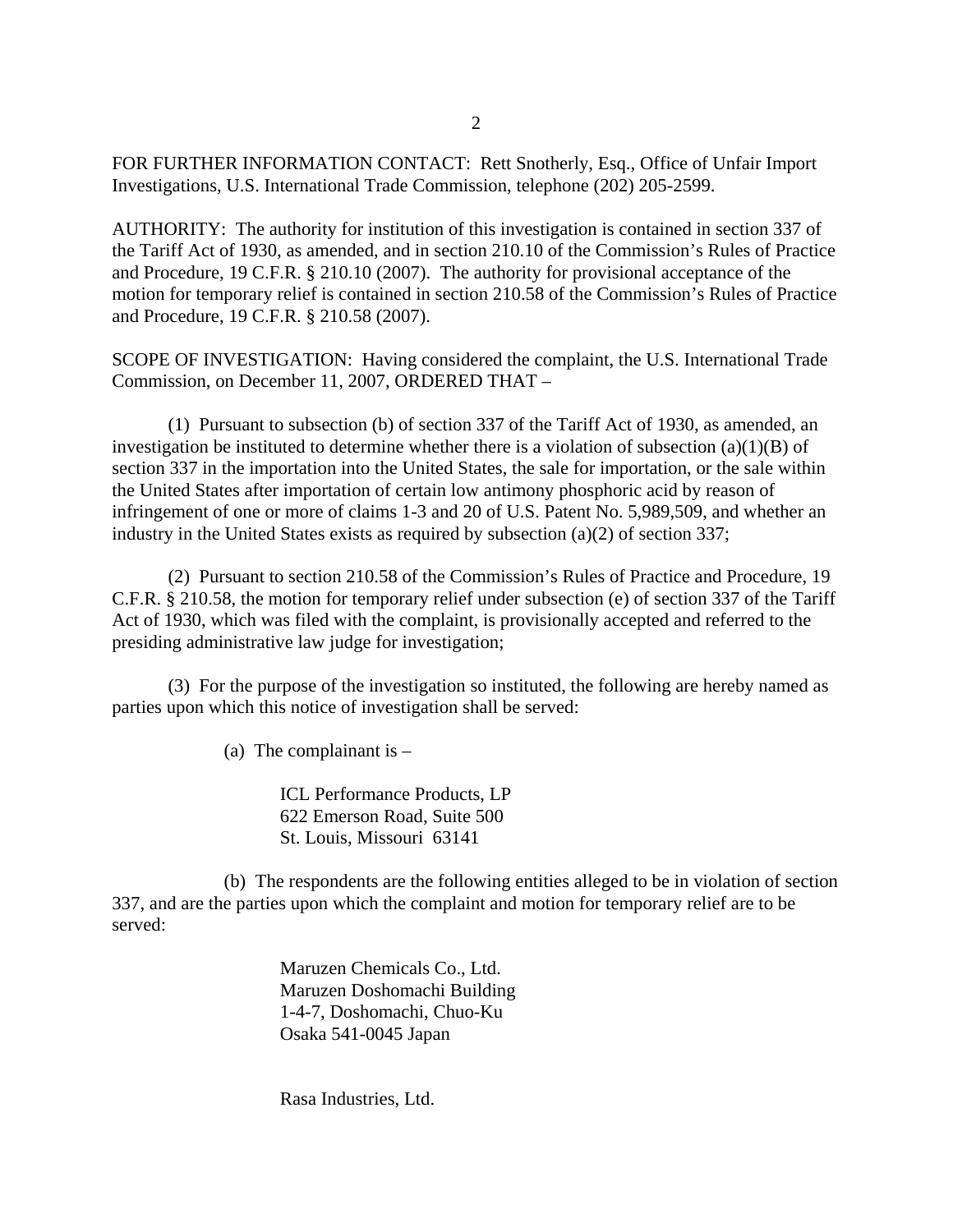FOR FURTHER INFORMATION CONTACT: Rett Snotherly, Esq., Office of Unfair Import Investigations, U.S. International Trade Commission, telephone (202) 205-2599.

AUTHORITY: The authority for institution of this investigation is contained in section 337 of the Tariff Act of 1930, as amended, and in section 210.10 of the Commission's Rules of Practice and Procedure, 19 C.F.R. § 210.10 (2007). The authority for provisional acceptance of the motion for temporary relief is contained in section 210.58 of the Commission's Rules of Practice and Procedure, 19 C.F.R. § 210.58 (2007).

SCOPE OF INVESTIGATION: Having considered the complaint, the U.S. International Trade Commission, on December 11, 2007, ORDERED THAT –

(1) Pursuant to subsection (b) of section 337 of the Tariff Act of 1930, as amended, an investigation be instituted to determine whether there is a violation of subsection  $(a)(1)(B)$  of section 337 in the importation into the United States, the sale for importation, or the sale within the United States after importation of certain low antimony phosphoric acid by reason of infringement of one or more of claims 1-3 and 20 of U.S. Patent No. 5,989,509, and whether an industry in the United States exists as required by subsection (a)(2) of section 337;

(2) Pursuant to section 210.58 of the Commission's Rules of Practice and Procedure, 19 C.F.R. § 210.58, the motion for temporary relief under subsection (e) of section 337 of the Tariff Act of 1930, which was filed with the complaint, is provisionally accepted and referred to the presiding administrative law judge for investigation;

(3) For the purpose of the investigation so instituted, the following are hereby named as parties upon which this notice of investigation shall be served:

(a) The complainant is  $-$ 

ICL Performance Products, LP 622 Emerson Road, Suite 500 St. Louis, Missouri 63141

(b) The respondents are the following entities alleged to be in violation of section 337, and are the parties upon which the complaint and motion for temporary relief are to be served:

> Maruzen Chemicals Co., Ltd. Maruzen Doshomachi Building 1-4-7, Doshomachi, Chuo-Ku Osaka 541-0045 Japan

Rasa Industries, Ltd.